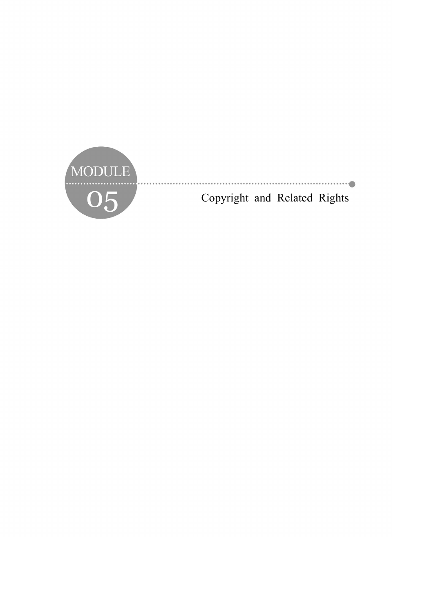

Copyright and Related Rights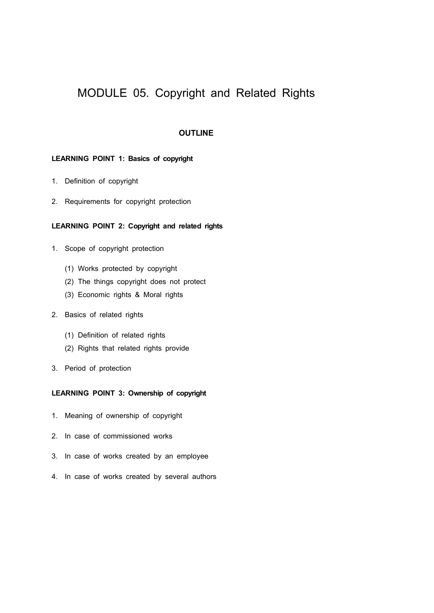# MODULE 05. Copyright and Related Rights

# **OUTLINE**

## **LEARNING POINT 1: Basics of copyright**

- 1. Definition of copyright
- 2. Requirements for copyright protection

# **LEARNING POINT 2: Copyright and related rights**

- 1. Scope of copyright protection
	- (1) Works protected by copyright
	- (2) The things copyright does not protect
	- (3) Economic rights & Moral rights
- 2. Basics of related rights
	- (1) Definition of related rights
	- (2) Rights that related rights provide
- 3. Period of protection

# **LEARNING POINT 3: Ownership of copyright**

- 1. Meaning of ownership of copyright
- 2. In case of commissioned works
- 3. In case of works created by an employee
- 4. In case of works created by several authors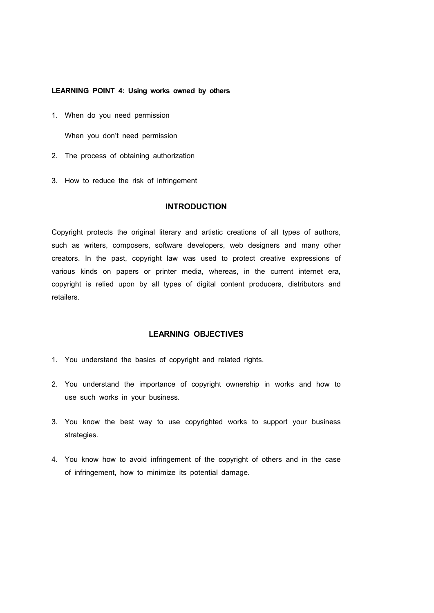## **LEARNING POINT 4: Using works owned by others**

1. When do you need permission

When you don't need permission

- 2. The process of obtaining authorization
- 3. How to reduce the risk of infringement

## **INTRODUCTION**

Copyright protects the original literary and artistic creations of all types of authors, such as writers, composers, software developers, web designers and many other creators. In the past, copyright law was used to protect creative expressions of various kinds on papers or printer media, whereas, in the current internet era, copyright is relied upon by all types of digital content producers, distributors and retailers.

# **LEARNING OBJECTIVES**

- 1. You understand the basics of copyright and related rights.
- 2. You understand the importance of copyright ownership in works and how to use such works in your business.
- 3. You know the best way to use copyrighted works to support your business strategies.
- 4. You know how to avoid infringement of the copyright of others and in the case of infringement, how to minimize its potential damage.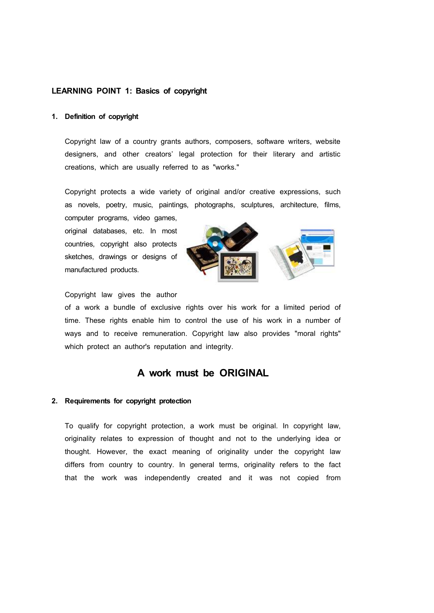## **LEARNING POINT 1: Basics of copyright**

## **1. Definition of copyright**

Copyright law of a country grants authors, composers, software writers, website designers, and other creators' legal protection for their literary and artistic creations, which are usually referred to as "works."

Copyright protects a wide variety of original and/or creative expressions, such as novels, poetry, music, paintings, photographs, sculptures, architecture, films,

computer programs, video games, original databases, etc. In most countries, copyright also protects sketches, drawings or designs of manufactured products.



Copyright law gives the author

of a work a bundle of exclusive rights over his work for a limited period of time. These rights enable him to control the use of his work in a number of ways and to receive remuneration. Copyright law also provides "moral rights" which protect an author's reputation and integrity.

# **A work must be ORIGINAL**

## **2. Requirements for copyright protection**

To qualify for copyright protection, a work must be original. In copyright law, originality relates to expression of thought and not to the underlying idea or thought. However, the exact meaning of originality under the copyright law differs from country to country. In general terms, originality refers to the fact that the work was independently created and it was not copied from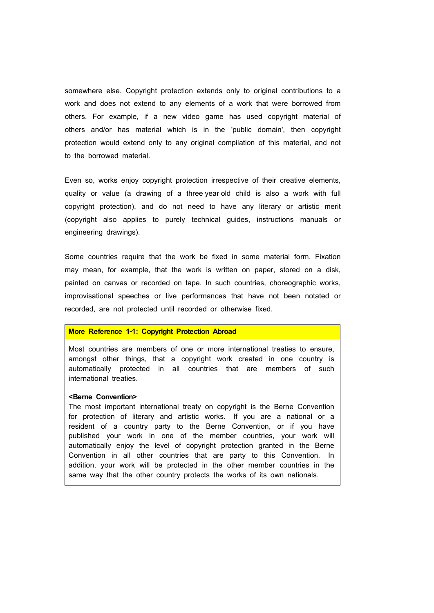somewhere else. Copyright protection extends only to original contributions to a work and does not extend to any elements of a work that were borrowed from others. For example, if a new video game has used copyright material of others and/or has material which is in the 'public domain', then copyright protection would extend only to any original compilation of this material, and not to the borrowed material.

Even so, works enjoy copyright protection irrespective of their creative elements, quality or value (a drawing of a three-year-old child is also a work with full copyright protection), and do not need to have any literary or artistic merit (copyright also applies to purely technical guides, instructions manuals or engineering drawings).

Some countries require that the work be fixed in some material form. Fixation may mean, for example, that the work is written on paper, stored on a disk, painted on canvas or recorded on tape. In such countries, choreographic works, improvisational speeches or live performances that have not been notated or recorded, are not protected until recorded or otherwise fixed.

#### **More Reference 1**‐**1: Copyright Protection Abroad**

Most countries are members of one or more international treaties to ensure, amongst other things, that a copyright work created in one country is automatically protected in all countries that are members of such international treaties.

## **<Berne Convention>**

The most important international treaty on copyright is the Berne Convention for protection of literary and artistic works. If you are a national or a resident of a country party to the Berne Convention, or if you have published your work in one of the member countries, your work will automatically enjoy the level of copyright protection granted in the Berne Convention in all other countries that are party to this Convention. In addition, your work will be protected in the other member countries in the same way that the other country protects the works of its own nationals.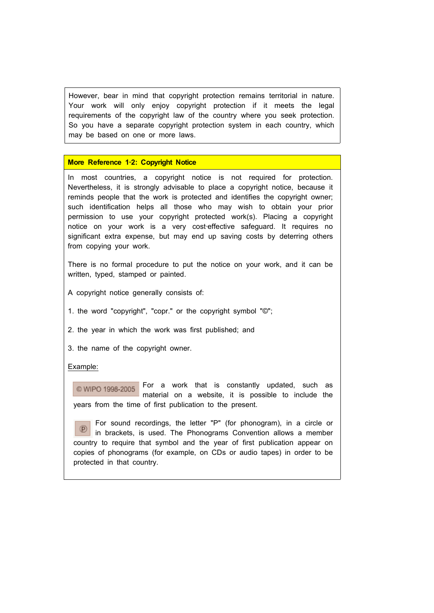However, bear in mind that copyright protection remains territorial in nature. Your work will only enjoy copyright protection if it meets the legal requirements of the copyright law of the country where you seek protection. So you have a separate copyright protection system in each country, which may be based on one or more laws.

## **More Reference 1**‐**2: Copyright Notice**

In most countries, a copyright notice is not required for protection. Nevertheless, it is strongly advisable to place a copyright notice, because it reminds people that the work is protected and identifies the copyright owner; such identification helps all those who may wish to obtain your prior permission to use your copyright protected work(s). Placing a copyright notice on your work is a very cost-effective safeguard. It requires no significant extra expense, but may end up saving costs by deterring others from copying your work.

There is no formal procedure to put the notice on your work, and it can be written, typed, stamped or painted.

- A copyright notice generally consists of:
- 1. the word "copyright", "copr." or the copyright symbol "©";
- 2. the year in which the work was first published; and
- 3. the name of the copyright owner.

#### Example:

 $@$  WIPO 1998-2005 For a work that is constantly updated, such as material on a website, it is possible to include the years from the time of first publication to the present.

For sound recordings, the letter "P" (for phonogram), in a circle or in brackets, is used. The Phonograms Convention allows a member country to require that symbol and the year of first publication appear on copies of phonograms (for example, on CDs or audio tapes) in order to be protected in that country.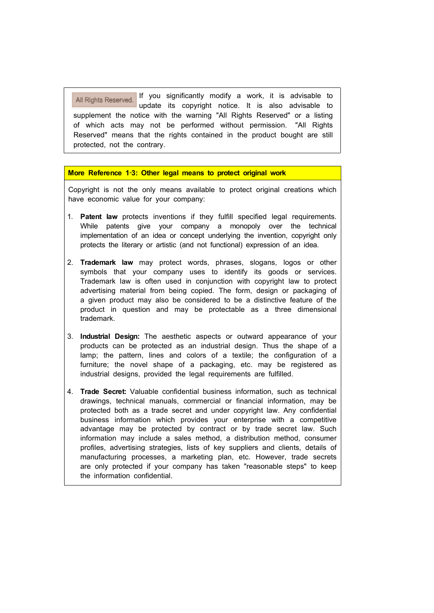All Rights Reserved. If you significantly modify a work, it is advisable to update its copyright notice. It is also advisable to supplement the notice with the warning "All Rights Reserved" or a listing of which acts may not be performed without permission. "All Rights Reserved" means that the rights contained in the product bought are still protected, not the contrary.

## **More Reference 1**‐**3: Other legal means to protect original work**

Copyright is not the only means available to protect original creations which have economic value for your company:

- 1. **Patent law** protects inventions if they fulfill specified legal requirements. While patents give your company a monopoly over the technical implementation of an idea or concept underlying the invention, copyright only protects the literary or artistic (and not functional) expression of an idea.
- 2. **Trademark law** may protect words, phrases, slogans, logos or other symbols that your company uses to identify its goods or services. Trademark law is often used in conjunction with copyright law to protect advertising material from being copied. The form, design or packaging of a given product may also be considered to be a distinctive feature of the product in question and may be protectable as a three dimensional trademark.
- 3. **Industrial Design:** The aesthetic aspects or outward appearance of your products can be protected as an industrial design. Thus the shape of a lamp; the pattern, lines and colors of a textile; the configuration of a furniture; the novel shape of a packaging, etc. may be registered as industrial designs, provided the legal requirements are fulfilled.
- 4. **Trade Secret:** Valuable confidential business information, such as technical drawings, technical manuals, commercial or financial information, may be protected both as a trade secret and under copyright law. Any confidential business information which provides your enterprise with a competitive advantage may be protected by contract or by trade secret law. Such information may include a sales method, a distribution method, consumer profiles, advertising strategies, lists of key suppliers and clients, details of manufacturing processes, a marketing plan, etc. However, trade secrets are only protected if your company has taken "reasonable steps" to keep the information confidential.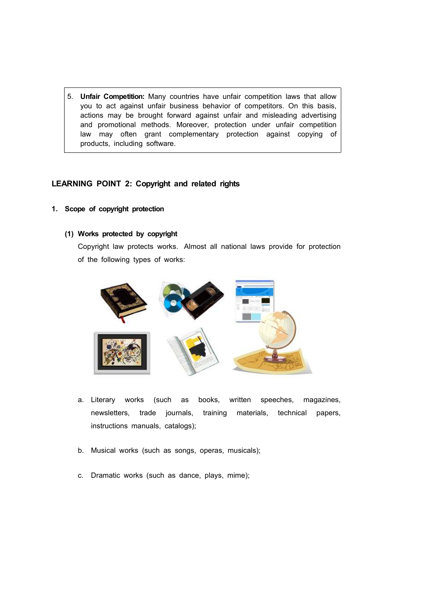5. **Unfair Competition:** Many countries have unfair competition laws that allow you to act against unfair business behavior of competitors. On this basis, actions may be brought forward against unfair and misleading advertising and promotional methods. Moreover, protection under unfair competition law may often grant complementary protection against copying of products, including software.

# **LEARNING POINT 2: Copyright and related rights**

# **1. Scope of copyright protection**

## **(1) Works protected by copyright**

Copyright law protects works. Almost all national laws provide for protection of the following types of works:



- a. Literary works (such as books, written speeches, magazines, newsletters, trade journals, training materials, technical papers, instructions manuals, catalogs);
- b. Musical works (such as songs, operas, musicals);
- c. Dramatic works (such as dance, plays, mime);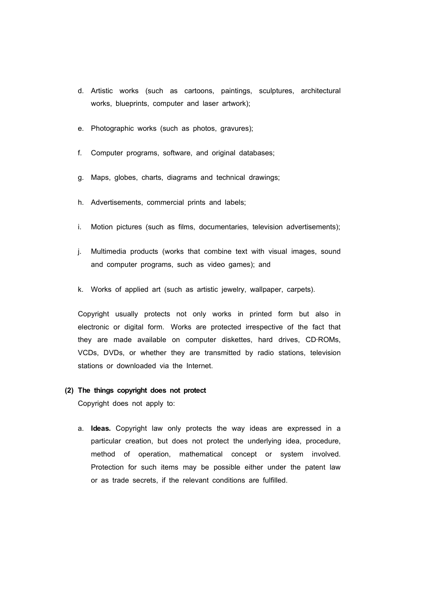- d. Artistic works (such as cartoons, paintings, sculptures, architectural works, blueprints, computer and laser artwork);
- e. Photographic works (such as photos, gravures);
- f. Computer programs, software, and original databases;
- g. Maps, globes, charts, diagrams and technical drawings;
- h. Advertisements, commercial prints and labels;
- i. Motion pictures (such as films, documentaries, television advertisements);
- j. Multimedia products (works that combine text with visual images, sound and computer programs, such as video games); and
- k. Works of applied art (such as artistic jewelry, wallpaper, carpets).

Copyright usually protects not only works in printed form but also in electronic or digital form. Works are protected irrespective of the fact that they are made available on computer diskettes, hard drives, CD‐ROMs, VCDs, DVDs, or whether they are transmitted by radio stations, television stations or downloaded via the Internet.

## **(2) The things copyright does not protect**

Copyright does not apply to:

a. **Ideas.** Copyright law only protects the way ideas are expressed in a particular creation, but does not protect the underlying idea, procedure, method of operation, mathematical concept or system involved. Protection for such items may be possible either under the patent law or as trade secrets, if the relevant conditions are fulfilled.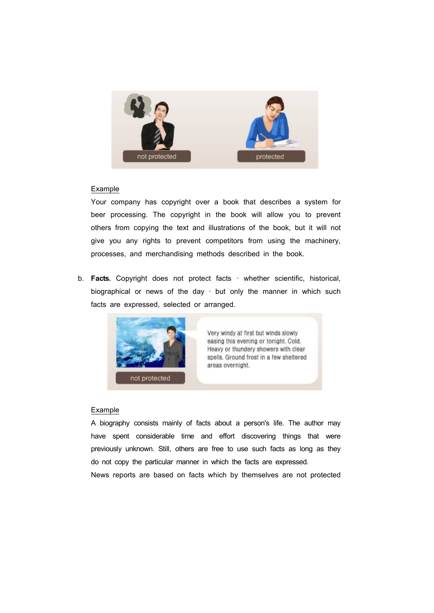

## Example

Your company has copyright over a book that describes a system for beer processing. The copyright in the book will allow you to prevent others from copying the text and illustrations of the book, but it will not give you any rights to prevent competitors from using the machinery, processes, and merchandising methods described in the book.

b. **Facts.** Copyright does not protect facts - whether scientific, historical, biographical or news of the day ‐ but only the manner in which such facts are expressed, selected or arranged.



Very windy at first but winds slowly easing this evening or tonight. Cold. Heavy or thundery showers with clear spells. Ground frost in a few sheltered areas overnight.

## Example

A biography consists mainly of facts about a person's life. The author may have spent considerable time and effort discovering things that were previously unknown. Still, others are free to use such facts as long as they do not copy the particular manner in which the facts are expressed. News reports are based on facts which by themselves are not protected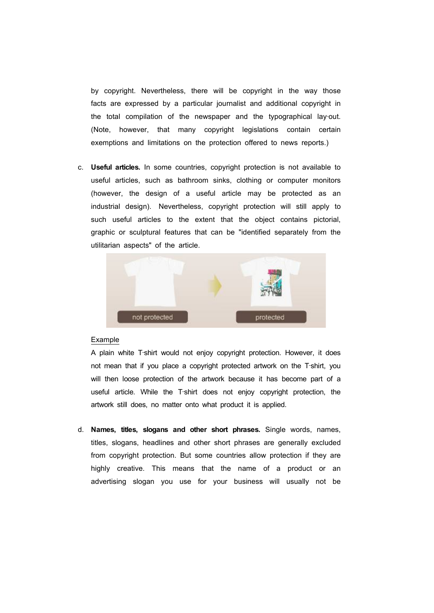by copyright. Nevertheless, there will be copyright in the way those facts are expressed by a particular journalist and additional copyright in the total compilation of the newspaper and the typographical lay‐out. (Note, however, that many copyright legislations contain certain exemptions and limitations on the protection offered to news reports.)

c. **Useful articles.** In some countries, copyright protection is not available to useful articles, such as bathroom sinks, clothing or computer monitors (however, the design of a useful article may be protected as an industrial design). Nevertheless, copyright protection will still apply to such useful articles to the extent that the object contains pictorial, graphic or sculptural features that can be "identified separately from the utilitarian aspects" of the article.



#### Example

A plain white T‐shirt would not enjoy copyright protection. However, it does not mean that if you place a copyright protected artwork on the T‐shirt, you will then loose protection of the artwork because it has become part of a useful article. While the T‐shirt does not enjoy copyright protection, the artwork still does, no matter onto what product it is applied.

d. **Names, titles, slogans and other short phrases.** Single words, names, titles, slogans, headlines and other short phrases are generally excluded from copyright protection. But some countries allow protection if they are highly creative. This means that the name of a product or an advertising slogan you use for your business will usually not be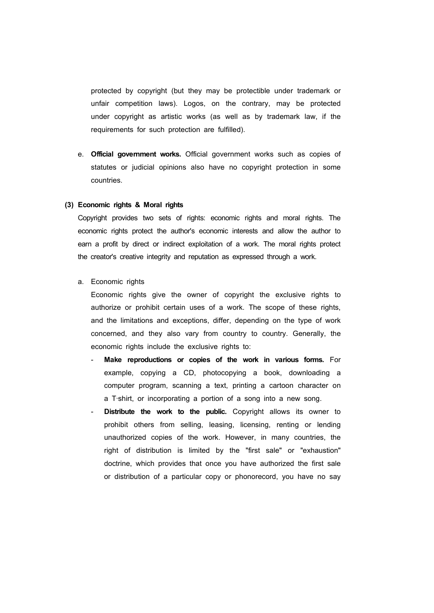protected by copyright (but they may be protectible under trademark or unfair competition laws). Logos, on the contrary, may be protected under copyright as artistic works (as well as by trademark law, if the requirements for such protection are fulfilled).

e. **Official government works.** Official government works such as copies of statutes or judicial opinions also have no copyright protection in some countries.

#### **(3) Economic rights & Moral rights**

Copyright provides two sets of rights: economic rights and moral rights. The economic rights protect the author's economic interests and allow the author to earn a profit by direct or indirect exploitation of a work. The moral rights protect the creator's creative integrity and reputation as expressed through a work.

a. Economic rights

Economic rights give the owner of copyright the exclusive rights to authorize or prohibit certain uses of a work. The scope of these rights, and the limitations and exceptions, differ, depending on the type of work concerned, and they also vary from country to country. Generally, the economic rights include the exclusive rights to:

- Make reproductions or copies of the work in various forms. For example, copying a CD, photocopying a book, downloading a computer program, scanning a text, printing a cartoon character on a T‐shirt, or incorporating a portion of a song into a new song.
- Distribute the work to the public. Copyright allows its owner to prohibit others from selling, leasing, licensing, renting or lending unauthorized copies of the work. However, in many countries, the right of distribution is limited by the "first sale" or "exhaustion" doctrine, which provides that once you have authorized the first sale or distribution of a particular copy or phonorecord, you have no say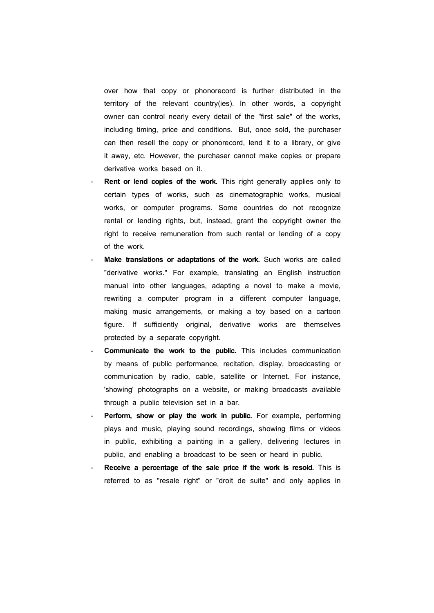over how that copy or phonorecord is further distributed in the territory of the relevant country(ies). In other words, a copyright owner can control nearly every detail of the "first sale" of the works, including timing, price and conditions. But, once sold, the purchaser can then resell the copy or phonorecord, lend it to a library, or give it away, etc. However, the purchaser cannot make copies or prepare derivative works based on it.

- Rent or lend copies of the work. This right generally applies only to certain types of works, such as cinematographic works, musical works, or computer programs. Some countries do not recognize rental or lending rights, but, instead, grant the copyright owner the right to receive remuneration from such rental or lending of a copy of the work.
- Make translations or adaptations of the work. Such works are called "derivative works." For example, translating an English instruction manual into other languages, adapting a novel to make a movie, rewriting a computer program in a different computer language, making music arrangements, or making a toy based on a cartoon figure. If sufficiently original, derivative works are themselves protected by a separate copyright.<br>**Communicate the work to the public.** This includes communication
- by means of public performance, recitation, display, broadcasting or communication by radio, cable, satellite or Internet. For instance, 'showing' photographs on a website, or making broadcasts available through a public television set in a bar.
- Perform, show or play the work in public. For example, performing plays and music, playing sound recordings, showing films or videos in public, exhibiting a painting in a gallery, delivering lectures in public, and enabling a broadcast to be seen or heard in public.
- **Receive a percentage of the sale price if the work is resold.** This is referred to as "resale right" or "droit de suite" and only applies in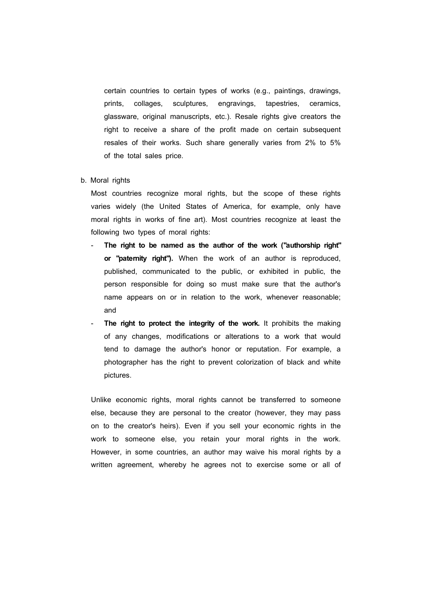certain countries to certain types of works (e.g., paintings, drawings, prints, collages, sculptures, engravings, tapestries, ceramics, glassware, original manuscripts, etc.). Resale rights give creators the right to receive a share of the profit made on certain subsequent resales of their works. Such share generally varies from 2% to 5% of the total sales price.

b. Moral rights

Most countries recognize moral rights, but the scope of these rights varies widely (the United States of America, for example, only have moral rights in works of fine art). Most countries recognize at least the following two types of moral rights:

- **The right to be named as the author of the work ("authorship right" or "paternity right").** When the work of an author is reproduced, published, communicated to the public, or exhibited in public, the person responsible for doing so must make sure that the author's name appears on or in relation to the work, whenever reasonable; and
- The right to protect the integrity of the work. It prohibits the making of any changes, modifications or alterations to a work that would tend to damage the author's honor or reputation. For example, a photographer has the right to prevent colorization of black and white pictures.

Unlike economic rights, moral rights cannot be transferred to someone else, because they are personal to the creator (however, they may pass on to the creator's heirs). Even if you sell your economic rights in the work to someone else, you retain your moral rights in the work. However, in some countries, an author may waive his moral rights by a written agreement, whereby he agrees not to exercise some or all of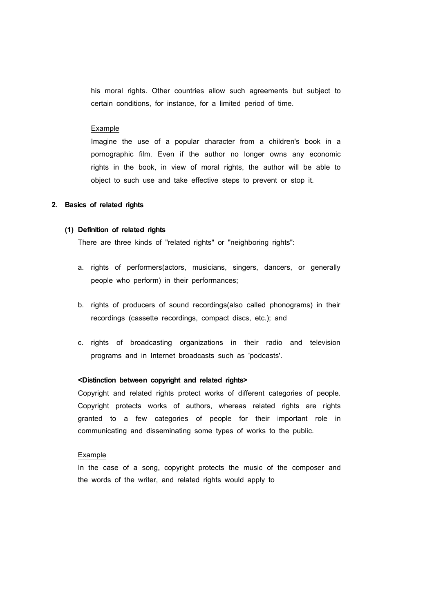his moral rights. Other countries allow such agreements but subject to certain conditions, for instance, for a limited period of time.

#### Example

Imagine the use of a popular character from a children's book in a pornographic film. Even if the author no longer owns any economic rights in the book, in view of moral rights, the author will be able to object to such use and take effective steps to prevent or stop it.

#### **2. Basics of related rights**

#### **(1) Definition of related rights**

There are three kinds of "related rights" or "neighboring rights":

- a. rights of performers(actors, musicians, singers, dancers, or generally people who perform) in their performances;
- b. rights of producers of sound recordings(also called phonograms) in their recordings (cassette recordings, compact discs, etc.); and
- c. rights of broadcasting organizations in their radio and television programs and in Internet broadcasts such as 'podcasts'.

#### **<Distinction between copyright and related rights>**

Copyright and related rights protect works of different categories of people. Copyright protects works of authors, whereas related rights are rights granted to a few categories of people for their important role in communicating and disseminating some types of works to the public.

#### Example

In the case of a song, copyright protects the music of the composer and the words of the writer, and related rights would apply to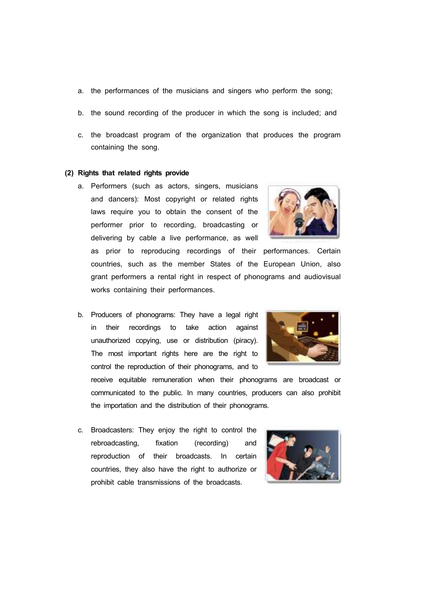- a. the performances of the musicians and singers who perform the song;
- b. the sound recording of the producer in which the song is included; and
- c. the broadcast program of the organization that produces the program containing the song.

#### **(2) Rights that related rights provide**

a. Performers (such as actors, singers, musicians and dancers): Most copyright or related rights laws require you to obtain the consent of the performer prior to recording, broadcasting or delivering by cable a live performance, as well



as prior to reproducing recordings of their performances. Certain countries, such as the member States of the European Union, also grant performers a rental right in respect of phonograms and audiovisual works containing their performances.

b. Producers of phonograms: They have a legal right in their recordings to take action against unauthorized copying, use or distribution (piracy). The most important rights here are the right to control the reproduction of their phonograms, and to



receive equitable remuneration when their phonograms are broadcast or communicated to the public. In many countries, producers can also prohibit the importation and the distribution of their phonograms.

c. Broadcasters: They enjoy the right to control the rebroadcasting, fixation (recording) and reproduction of their broadcasts. In certain countries, they also have the right to authorize or prohibit cable transmissions of the broadcasts.

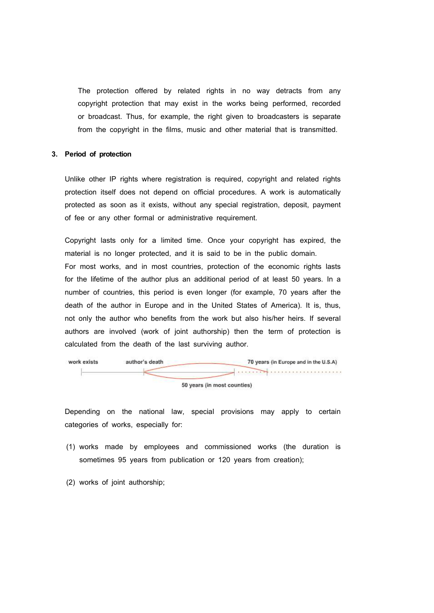The protection offered by related rights in no way detracts from any copyright protection that may exist in the works being performed, recorded or broadcast. Thus, for example, the right given to broadcasters is separate from the copyright in the films, music and other material that is transmitted.

## **3. Period of protection**

Unlike other IP rights where registration is required, copyright and related rights protection itself does not depend on official procedures. A work is automatically protected as soon as it exists, without any special registration, deposit, payment of fee or any other formal or administrative requirement.

Copyright lasts only for a limited time. Once your copyright has expired, the material is no longer protected, and it is said to be in the public domain. For most works, and in most countries, protection of the economic rights lasts for the lifetime of the author plus an additional period of at least 50 years. In a number of countries, this period is even longer (for example, 70 years after the death of the author in Europe and in the United States of America). It is, thus, not only the author who benefits from the work but also his/her heirs. If several authors are involved (work of joint authorship) then the term of protection is calculated from the death of the last surviving author.



Depending on the national law, special provisions may apply to certain categories of works, especially for:

- (1) works made by employees and commissioned works (the duration is sometimes 95 years from publication or 120 years from creation);
- (2) works of joint authorship;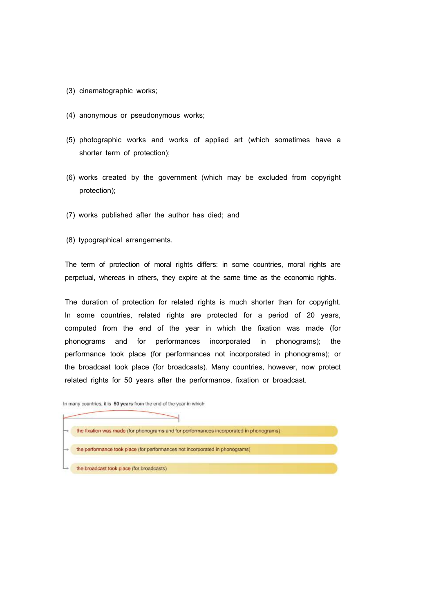- (3) cinematographic works;
- (4) anonymous or pseudonymous works;
- (5) photographic works and works of applied art (which sometimes have a shorter term of protection);
- (6) works created by the government (which may be excluded from copyright protection);
- (7) works published after the author has died; and
- (8) typographical arrangements.

The term of protection of moral rights differs: in some countries, moral rights are perpetual, whereas in others, they expire at the same time as the economic rights.

The duration of protection for related rights is much shorter than for copyright. In some countries, related rights are protected for a period of 20 years, computed from the end of the year in which the fixation was made (for phonograms and for performances incorporated in phonograms); the performance took place (for performances not incorporated in phonograms); or the broadcast took place (for broadcasts). Many countries, however, now protect related rights for 50 years after the performance, fixation or broadcast.

In many countries, it is 50 years from the end of the year in which

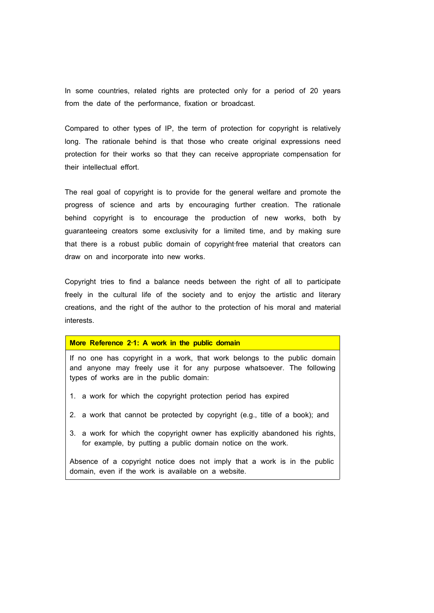In some countries, related rights are protected only for a period of 20 years from the date of the performance, fixation or broadcast.

Compared to other types of IP, the term of protection for copyright is relatively long. The rationale behind is that those who create original expressions need protection for their works so that they can receive appropriate compensation for their intellectual effort.

The real goal of copyright is to provide for the general welfare and promote the progress of science and arts by encouraging further creation. The rationale behind copyright is to encourage the production of new works, both by guaranteeing creators some exclusivity for a limited time, and by making sure that there is a robust public domain of copyright‐free material that creators can draw on and incorporate into new works.

Copyright tries to find a balance needs between the right of all to participate freely in the cultural life of the society and to enjoy the artistic and literary creations, and the right of the author to the protection of his moral and material interests.

#### **More Reference 2**‐**1: A work in the public domain**

If no one has copyright in a work, that work belongs to the public domain and anyone may freely use it for any purpose whatsoever. The following types of works are in the public domain:

- 1. a work for which the copyright protection period has expired
- 2. a work that cannot be protected by copyright (e.g., title of a book); and
- 3. a work for which the copyright owner has explicitly abandoned his rights, for example, by putting a public domain notice on the work.

Absence of a copyright notice does not imply that a work is in the public domain, even if the work is available on a website.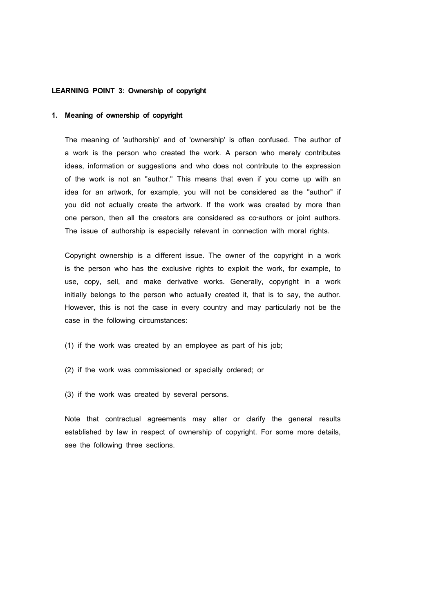## **LEARNING POINT 3: Ownership of copyright**

#### **1. Meaning of ownership of copyright**

The meaning of 'authorship' and of 'ownership' is often confused. The author of a work is the person who created the work. A person who merely contributes ideas, information or suggestions and who does not contribute to the expression of the work is not an "author." This means that even if you come up with an idea for an artwork, for example, you will not be considered as the "author" if you did not actually create the artwork. If the work was created by more than one person, then all the creators are considered as co-authors or joint authors. The issue of authorship is especially relevant in connection with moral rights.

Copyright ownership is a different issue. The owner of the copyright in a work is the person who has the exclusive rights to exploit the work, for example, to use, copy, sell, and make derivative works. Generally, copyright in a work initially belongs to the person who actually created it, that is to say, the author. However, this is not the case in every country and may particularly not be the case in the following circumstances:

- (1) if the work was created by an employee as part of his job;
- (2) if the work was commissioned or specially ordered; or
- (3) if the work was created by several persons.

Note that contractual agreements may alter or clarify the general results established by law in respect of ownership of copyright. For some more details, see the following three sections.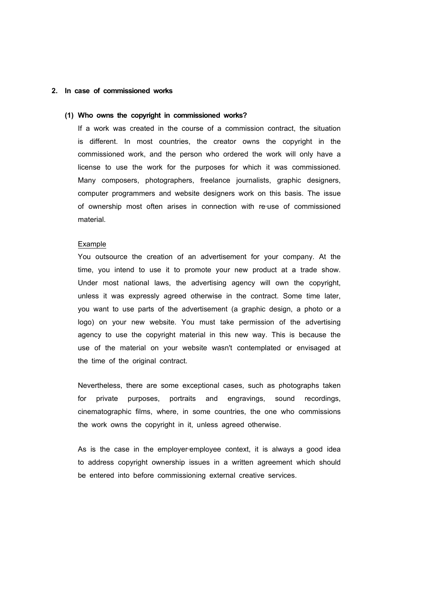## **2. In case of commissioned works**

## **(1) Who owns the copyright in commissioned works?**

If a work was created in the course of a commission contract, the situation is different. In most countries, the creator owns the copyright in the commissioned work, and the person who ordered the work will only have a license to use the work for the purposes for which it was commissioned. Many composers, photographers, freelance journalists, graphic designers, computer programmers and website designers work on this basis. The issue of ownership most often arises in connection with re‐use of commissioned material.

#### Example

You outsource the creation of an advertisement for your company. At the time, you intend to use it to promote your new product at a trade show. Under most national laws, the advertising agency will own the copyright, unless it was expressly agreed otherwise in the contract. Some time later, you want to use parts of the advertisement (a graphic design, a photo or a logo) on your new website. You must take permission of the advertising agency to use the copyright material in this new way. This is because the use of the material on your website wasn't contemplated or envisaged at the time of the original contract.

Nevertheless, there are some exceptional cases, such as photographs taken for private purposes, portraits and engravings, sound recordings, cinematographic films, where, in some countries, the one who commissions the work owns the copyright in it, unless agreed otherwise.

As is the case in the employer-employee context, it is always a good idea to address copyright ownership issues in a written agreement which should be entered into before commissioning external creative services.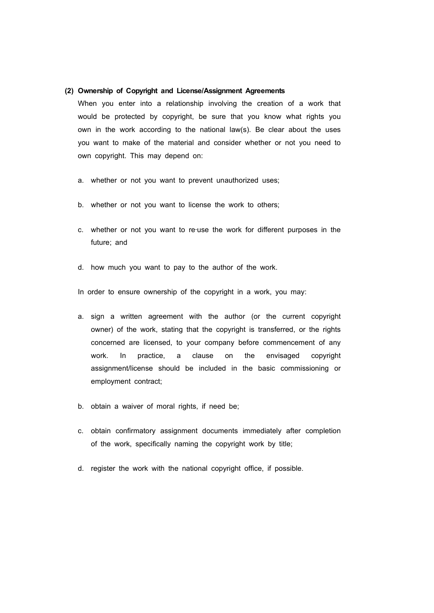## **(2) Ownership of Copyright and License/Assignment Agreements**

When you enter into a relationship involving the creation of a work that would be protected by copyright, be sure that you know what rights you own in the work according to the national law(s). Be clear about the uses you want to make of the material and consider whether or not you need to own copyright. This may depend on:

- a. whether or not you want to prevent unauthorized uses;
- b. whether or not you want to license the work to others;
- c. whether or not you want to re-use the work for different purposes in the future; and
- d. how much you want to pay to the author of the work.

In order to ensure ownership of the copyright in a work, you may:

- a. sign a written agreement with the author (or the current copyright owner) of the work, stating that the copyright is transferred, or the rights concerned are licensed, to your company before commencement of any work. In practice, a clause on the envisaged copyright assignment/license should be included in the basic commissioning or employment contract;
- b. obtain a waiver of moral rights, if need be;
- c. obtain confirmatory assignment documents immediately after completion of the work, specifically naming the copyright work by title;
- d. register the work with the national copyright office, if possible.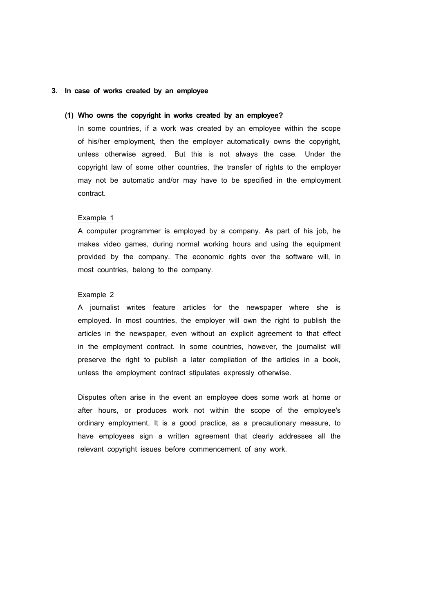## **3. In case of works created by an employee**

## **(1) Who owns the copyright in works created by an employee?**

In some countries, if a work was created by an employee within the scope of his/her employment, then the employer automatically owns the copyright, unless otherwise agreed. But this is not always the case. Under the copyright law of some other countries, the transfer of rights to the employer may not be automatic and/or may have to be specified in the employment contract.

#### Example 1

A computer programmer is employed by a company. As part of his job, he makes video games, during normal working hours and using the equipment provided by the company. The economic rights over the software will, in most countries, belong to the company.

# Example 2

A journalist writes feature articles for the newspaper where she is employed. In most countries, the employer will own the right to publish the articles in the newspaper, even without an explicit agreement to that effect in the employment contract. In some countries, however, the journalist will preserve the right to publish a later compilation of the articles in a book, unless the employment contract stipulates expressly otherwise.

Disputes often arise in the event an employee does some work at home or after hours, or produces work not within the scope of the employee's ordinary employment. It is a good practice, as a precautionary measure, to have employees sign a written agreement that clearly addresses all the relevant copyright issues before commencement of any work.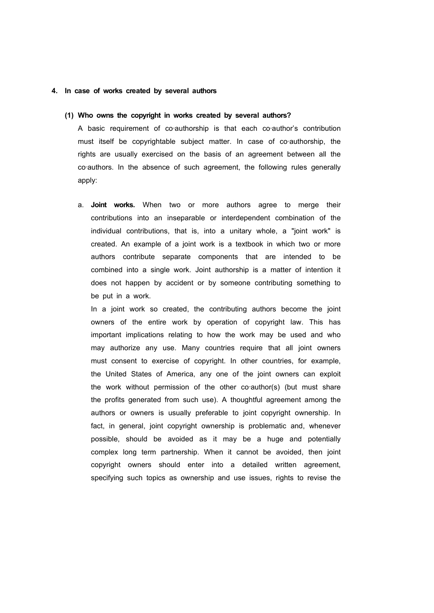#### **4. In case of works created by several authors**

#### **(1) Who owns the copyright in works created by several authors?**

A basic requirement of co-authorship is that each co-author's contribution must itself be copyrightable subject matter. In case of co-authorship, the rights are usually exercised on the basis of an agreement between all the co-authors. In the absence of such agreement, the following rules generally apply:

a. **Joint works.** When two or more authors agree to merge their contributions into an inseparable or interdependent combination of the individual contributions, that is, into a unitary whole, a "joint work" is created. An example of a joint work is a textbook in which two or more authors contribute separate components that are intended to be combined into a single work. Joint authorship is a matter of intention it does not happen by accident or by someone contributing something to be put in a work.

In a joint work so created, the contributing authors become the joint owners of the entire work by operation of copyright law. This has important implications relating to how the work may be used and who may authorize any use. Many countries require that all joint owners must consent to exercise of copyright. In other countries, for example, the United States of America, any one of the joint owners can exploit the work without permission of the other co-author(s) (but must share the profits generated from such use). A thoughtful agreement among the authors or owners is usually preferable to joint copyright ownership. In fact, in general, joint copyright ownership is problematic and, whenever possible, should be avoided as it may be a huge and potentially complex long term partnership. When it cannot be avoided, then joint copyright owners should enter into a detailed written agreement, specifying such topics as ownership and use issues, rights to revise the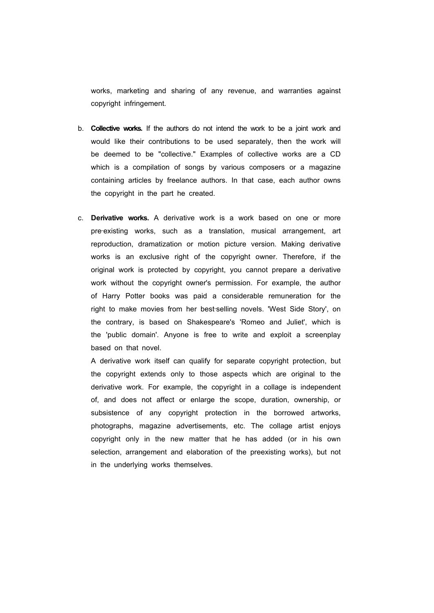works, marketing and sharing of any revenue, and warranties against copyright infringement.

- b. **Collective works.** If the authors do not intend the work to be a joint work and would like their contributions to be used separately, then the work will be deemed to be "collective." Examples of collective works are a CD which is a compilation of songs by various composers or a magazine containing articles by freelance authors. In that case, each author owns the copyright in the part he created.
- c. **Derivative works.** A derivative work is a work based on one or more pre-existing works, such as a translation, musical arrangement, art reproduction, dramatization or motion picture version. Making derivative works is an exclusive right of the copyright owner. Therefore, if the original work is protected by copyright, you cannot prepare a derivative work without the copyright owner's permission. For example, the author of Harry Potter books was paid a considerable remuneration for the right to make movies from her best-selling novels. 'West Side Story', on the contrary, is based on Shakespeare's 'Romeo and Juliet', which is the 'public domain'. Anyone is free to write and exploit a screenplay based on that novel.

A derivative work itself can qualify for separate copyright protection, but the copyright extends only to those aspects which are original to the derivative work. For example, the copyright in a collage is independent of, and does not affect or enlarge the scope, duration, ownership, or subsistence of any copyright protection in the borrowed artworks, photographs, magazine advertisements, etc. The collage artist enjoys copyright only in the new matter that he has added (or in his own selection, arrangement and elaboration of the preexisting works), but not in the underlying works themselves.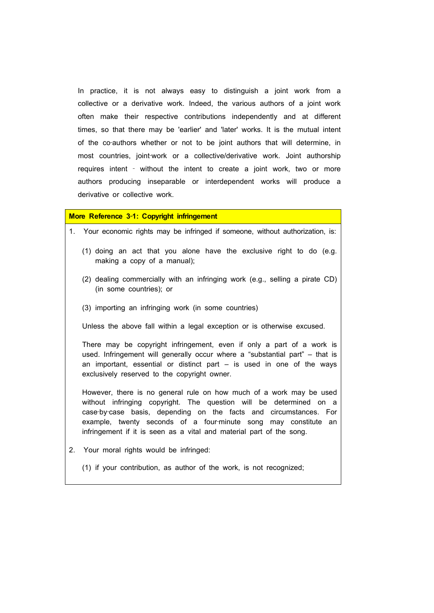In practice, it is not always easy to distinguish a joint work from a collective or a derivative work. Indeed, the various authors of a joint work often make their respective contributions independently and at different times, so that there may be 'earlier' and 'later' works. It is the mutual intent of the co-authors whether or not to be joint authors that will determine, in most countries, joint-work or a collective/derivative work. Joint authorship requires intent - without the intent to create a joint work, two or more authors producing inseparable or interdependent works will produce a derivative or collective work.

# **More Reference 3**‐**1: Copyright infringement**

| 1. Your economic rights may be infringed if someone, without authorization, is:                                                                                                                                                                                                                                                                           |  |
|-----------------------------------------------------------------------------------------------------------------------------------------------------------------------------------------------------------------------------------------------------------------------------------------------------------------------------------------------------------|--|
| (1) doing an act that you alone have the exclusive right to do (e.g.<br>making a copy of a manual);                                                                                                                                                                                                                                                       |  |
| (2) dealing commercially with an infringing work (e.g., selling a pirate CD)<br>(in some countries); or                                                                                                                                                                                                                                                   |  |
| (3) importing an infringing work (in some countries)                                                                                                                                                                                                                                                                                                      |  |
| Unless the above fall within a legal exception or is otherwise excused.                                                                                                                                                                                                                                                                                   |  |
| There may be copyright infringement, even if only a part of a work is<br>used. Infringement will generally occur where a "substantial part" – that is<br>an important, essential or distinct part – is used in one of the ways<br>exclusively reserved to the copyright owner.                                                                            |  |
| However, there is no general rule on how much of a work may be used<br>without infringing copyright. The question will be determined on a<br>case-by-case basis, depending on the facts and circumstances. For<br>example, twenty seconds of a four-minute song may constitute an<br>infringement if it is seen as a vital and material part of the song. |  |
| 2. Your moral rights would be infringed:                                                                                                                                                                                                                                                                                                                  |  |

(1) if your contribution, as author of the work, is not recognized;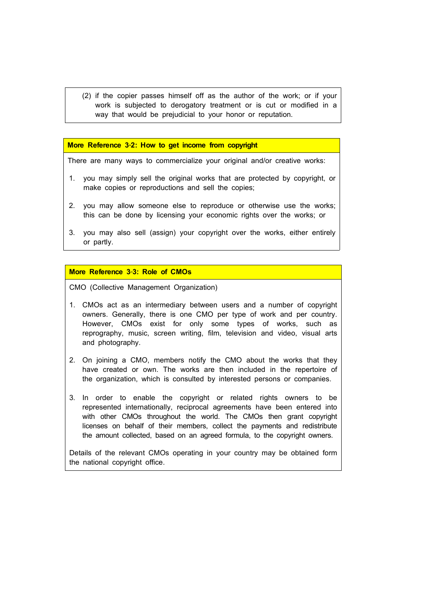(2) if the copier passes himself off as the author of the work; or if your work is subjected to derogatory treatment or is cut or modified in a way that would be prejudicial to your honor or reputation.

**More Reference 3**‐**2: How to get income from copyright**

There are many ways to commercialize your original and/or creative works:

- 1. you may simply sell the original works that are protected by copyright, or make copies or reproductions and sell the copies;
- 2. you may allow someone else to reproduce or otherwise use the works; this can be done by licensing your economic rights over the works; or
- 3. you may also sell (assign) your copyright over the works, either entirely or partly.

## **More Reference 3**‐**3: Role of CMOs**

CMO (Collective Management Organization)

- 1. CMOs act as an intermediary between users and a number of copyright owners. Generally, there is one CMO per type of work and per country. However, CMOs exist for only some types of works, such as reprography, music, screen writing, film, television and video, visual arts and photography.
- 2. On joining a CMO, members notify the CMO about the works that they have created or own. The works are then included in the repertoire of the organization, which is consulted by interested persons or companies.
- 3. In order to enable the copyright or related rights owners to be represented internationally, reciprocal agreements have been entered into with other CMOs throughout the world. The CMOs then grant copyright licenses on behalf of their members, collect the payments and redistribute the amount collected, based on an agreed formula, to the copyright owners.

Details of the relevant CMOs operating in your country may be obtained form the national copyright office.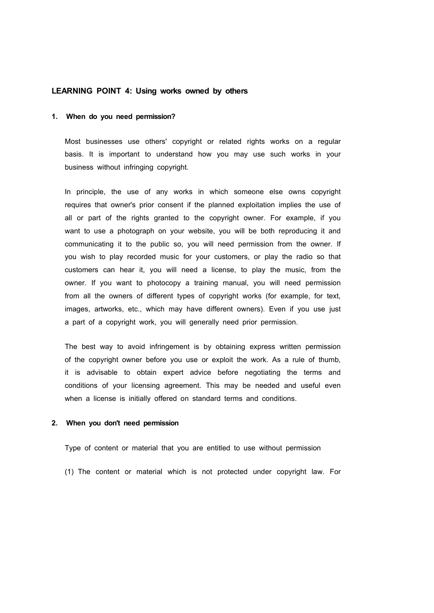## **LEARNING POINT 4: Using works owned by others**

#### **1. When do you need permission?**

Most businesses use others' copyright or related rights works on a regular basis. It is important to understand how you may use such works in your business without infringing copyright.

In principle, the use of any works in which someone else owns copyright requires that owner's prior consent if the planned exploitation implies the use of all or part of the rights granted to the copyright owner. For example, if you want to use a photograph on your website, you will be both reproducing it and communicating it to the public so, you will need permission from the owner. If you wish to play recorded music for your customers, or play the radio so that customers can hear it, you will need a license, to play the music, from the owner. If you want to photocopy a training manual, you will need permission from all the owners of different types of copyright works (for example, for text, images, artworks, etc., which may have different owners). Even if you use just a part of a copyright work, you will generally need prior permission.

The best way to avoid infringement is by obtaining express written permission of the copyright owner before you use or exploit the work. As a rule of thumb, it is advisable to obtain expert advice before negotiating the terms and conditions of your licensing agreement. This may be needed and useful even when a license is initially offered on standard terms and conditions.

#### **2. When you don't need permission**

Type of content or material that you are entitled to use without permission

(1) The content or material which is not protected under copyright law. For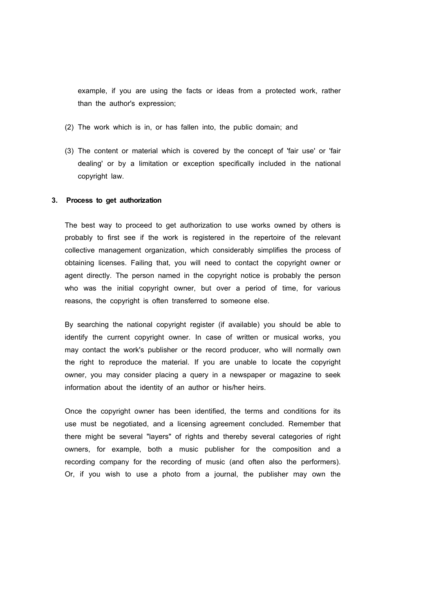example, if you are using the facts or ideas from a protected work, rather than the author's expression;

- (2) The work which is in, or has fallen into, the public domain; and
- (3) The content or material which is covered by the concept of 'fair use' or 'fair dealing' or by a limitation or exception specifically included in the national copyright law.

#### **3. Process to get authorization**

The best way to proceed to get authorization to use works owned by others is probably to first see if the work is registered in the repertoire of the relevant collective management organization, which considerably simplifies the process of obtaining licenses. Failing that, you will need to contact the copyright owner or agent directly. The person named in the copyright notice is probably the person who was the initial copyright owner, but over a period of time, for various reasons, the copyright is often transferred to someone else.

By searching the national copyright register (if available) you should be able to identify the current copyright owner. In case of written or musical works, you may contact the work's publisher or the record producer, who will normally own the right to reproduce the material. If you are unable to locate the copyright owner, you may consider placing a query in a newspaper or magazine to seek information about the identity of an author or his/her heirs.

Once the copyright owner has been identified, the terms and conditions for its use must be negotiated, and a licensing agreement concluded. Remember that there might be several "layers" of rights and thereby several categories of right owners, for example, both a music publisher for the composition and a recording company for the recording of music (and often also the performers). Or, if you wish to use a photo from a journal, the publisher may own the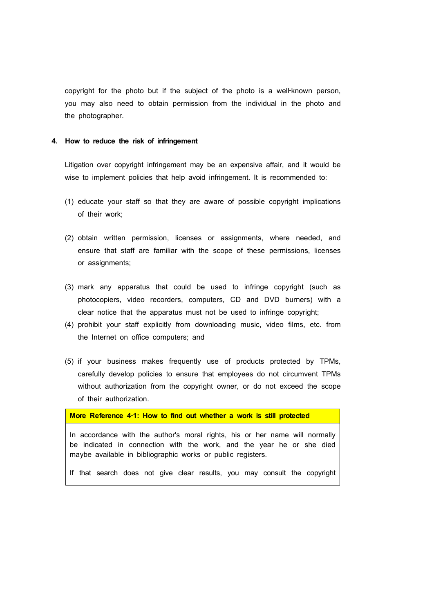copyright for the photo but if the subject of the photo is a well-known person, you may also need to obtain permission from the individual in the photo and the photographer.

#### **4. How to reduce the risk of infringement**

Litigation over copyright infringement may be an expensive affair, and it would be wise to implement policies that help avoid infringement. It is recommended to:

- (1) educate your staff so that they are aware of possible copyright implications of their work;
- (2) obtain written permission, licenses or assignments, where needed, and ensure that staff are familiar with the scope of these permissions, licenses or assignments;
- (3) mark any apparatus that could be used to infringe copyright (such as photocopiers, video recorders, computers, CD and DVD burners) with a clear notice that the apparatus must not be used to infringe copyright;
- (4) prohibit your staff explicitly from downloading music, video films, etc. from the Internet on office computers; and
- (5) if your business makes frequently use of products protected by TPMs, carefully develop policies to ensure that employees do not circumvent TPMs without authorization from the copyright owner, or do not exceed the scope of their authorization.

**More Reference 4**‐**1: How to find out whether a work is still protected**

In accordance with the author's moral rights, his or her name will normally be indicated in connection with the work, and the year he or she died maybe available in bibliographic works or public registers.

If that search does not give clear results, you may consult the copyright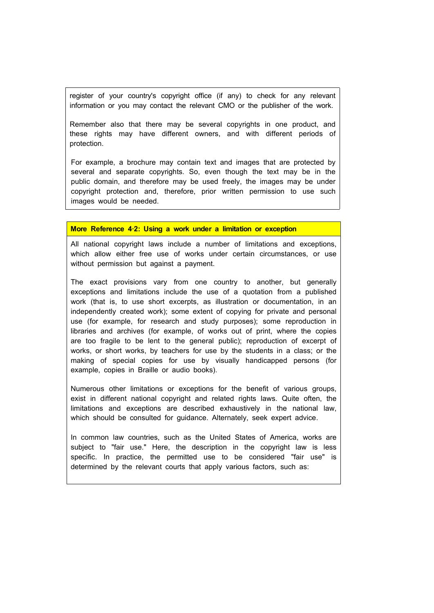register of your country's copyright office (if any) to check for any relevant information or you may contact the relevant CMO or the publisher of the work.

Remember also that there may be several copyrights in one product, and these rights may have different owners, and with different periods of protection.

For example, a brochure may contain text and images that are protected by several and separate copyrights. So, even though the text may be in the public domain, and therefore may be used freely, the images may be under copyright protection and, therefore, prior written permission to use such images would be needed.

## **More Reference 4**‐**2: Using a work under a limitation or exception**

All national copyright laws include a number of limitations and exceptions, which allow either free use of works under certain circumstances, or use without permission but against a payment.

The exact provisions vary from one country to another, but generally exceptions and limitations include the use of a quotation from a published work (that is, to use short excerpts, as illustration or documentation, in an independently created work); some extent of copying for private and personal use (for example, for research and study purposes); some reproduction in libraries and archives (for example, of works out of print, where the copies are too fragile to be lent to the general public); reproduction of excerpt of works, or short works, by teachers for use by the students in a class; or the making of special copies for use by visually handicapped persons (for example, copies in Braille or audio books).

Numerous other limitations or exceptions for the benefit of various groups, exist in different national copyright and related rights laws. Quite often, the limitations and exceptions are described exhaustively in the national law, which should be consulted for guidance. Alternately, seek expert advice.

In common law countries, such as the United States of America, works are subject to "fair use." Here, the description in the copyright law is less specific. In practice, the permitted use to be considered "fair use" is determined by the relevant courts that apply various factors, such as:

 $\sim$  1.0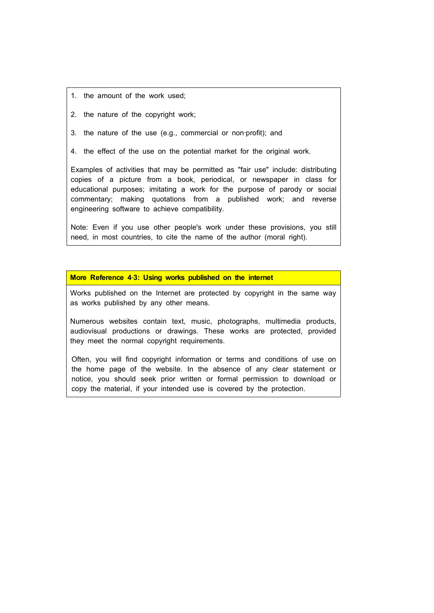- 1. the amount of the work used;
- 2. the nature of the copyright work;
- 3. the nature of the use (e.g., commercial or non‐profit); and
- 4. the effect of the use on the potential market for the original work.

Examples of activities that may be permitted as "fair use" include: distributing copies of a picture from a book, periodical, or newspaper in class for educational purposes; imitating a work for the purpose of parody or social commentary; making quotations from a published work; and reverse engineering software to achieve compatibility.

Note: Even if you use other people's work under these provisions, you still need, in most countries, to cite the name of the author (moral right).

#### **More Reference 4**‐**3: Using works published on the internet**

Works published on the Internet are protected by copyright in the same way as works published by any other means.

Numerous websites contain text, music, photographs, multimedia products, audiovisual productions or drawings. These works are protected, provided they meet the normal copyright requirements.

Often, you will find copyright information or terms and conditions of use on the home page of the website. In the absence of any clear statement or notice, you should seek prior written or formal permission to download or copy the material, if your intended use is covered by the protection.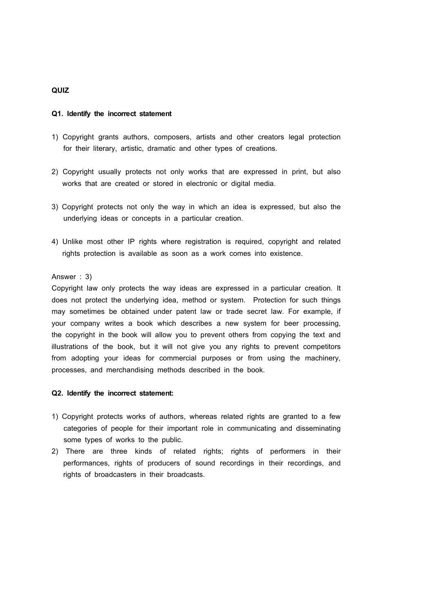# **QUIZ**

#### **Q1. Identify the incorrect statement**

- 1) Copyright grants authors, composers, artists and other creators legal protection for their literary, artistic, dramatic and other types of creations.
- 2) Copyright usually protects not only works that are expressed in print, but also works that are created or stored in electronic or digital media.
- 3) Copyright protects not only the way in which an idea is expressed, but also the underlying ideas or concepts in a particular creation.
- 4) Unlike most other IP rights where registration is required, copyright and related rights protection is available as soon as a work comes into existence.

## Answer : 3)

Copyright law only protects the way ideas are expressed in a particular creation. It does not protect the underlying idea, method or system. Protection for such things may sometimes be obtained under patent law or trade secret law. For example, if your company writes a book which describes a new system for beer processing, the copyright in the book will allow you to prevent others from copying the text and illustrations of the book, but it will not give you any rights to prevent competitors from adopting your ideas for commercial purposes or from using the machinery, processes, and merchandising methods described in the book.

#### **Q2. Identify the incorrect statement:**

- 1) Copyright protects works of authors, whereas related rights are granted to a few categories of people for their important role in communicating and disseminating some types of works to the public.
- 2) There are three kinds of related rights; rights of performers in their performances, rights of producers of sound recordings in their recordings, and rights of broadcasters in their broadcasts.